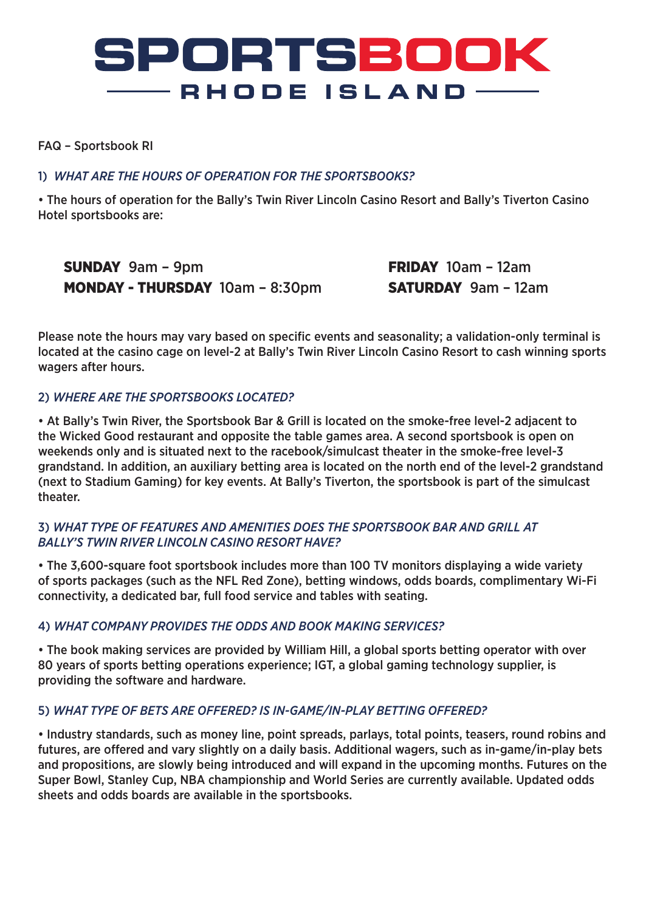## **SPORTSBOOK**  $-$  RHODE ISLAND  $-$

#### FAQ – Sportsbook RI

## 1) *WHAT ARE THE HOURS OF OPERATION FOR THE SPORTSBOOKS?*

• The hours of operation for the Bally's Twin River Lincoln Casino Resort and Bally's Tiverton Casino Hotel sportsbooks are:

SUNDAY 9am – 9pm MONDAY - THURSDAY 10am – 8:30pm FRIDAY 10am – 12am SATURDAY 9am – 12am

Please note the hours may vary based on specific events and seasonality; a validation-only terminal is located at the casino cage on level-2 at Bally's Twin River Lincoln Casino Resort to cash winning sports wagers after hours.

## 2) *WHERE ARE THE SPORTSBOOKS LOCATED?*

• At Bally's Twin River, the Sportsbook Bar & Grill is located on the smoke-free level-2 adjacent to the Wicked Good restaurant and opposite the table games area. A second sportsbook is open on weekends only and is situated next to the racebook/simulcast theater in the smoke-free level-3 grandstand. In addition, an auxiliary betting area is located on the north end of the level-2 grandstand (next to Stadium Gaming) for key events. At Bally's Tiverton, the sportsbook is part of the simulcast theater.

## 3) *WHAT TYPE OF FEATURES AND AMENITIES DOES THE SPORTSBOOK BAR AND GRILL AT BALLY'S TWIN RIVER LINCOLN CASINO RESORT HAVE?*

• The 3,600-square foot sportsbook includes more than 100 TV monitors displaying a wide variety of sports packages (such as the NFL Red Zone), betting windows, odds boards, complimentary Wi-Fi connectivity, a dedicated bar, full food service and tables with seating.

#### 4) *WHAT COMPANY PROVIDES THE ODDS AND BOOK MAKING SERVICES?*

• The book making services are provided by William Hill, a global sports betting operator with over 80 years of sports betting operations experience; IGT, a global gaming technology supplier, is providing the software and hardware.

#### 5) *WHAT TYPE OF BETS ARE OFFERED? IS IN-GAME/IN-PLAY BETTING OFFERED?*

• Industry standards, such as money line, point spreads, parlays, total points, teasers, round robins and futures, are offered and vary slightly on a daily basis. Additional wagers, such as in-game/in-play bets and propositions, are slowly being introduced and will expand in the upcoming months. Futures on the Super Bowl, Stanley Cup, NBA championship and World Series are currently available. Updated odds sheets and odds boards are available in the sportsbooks.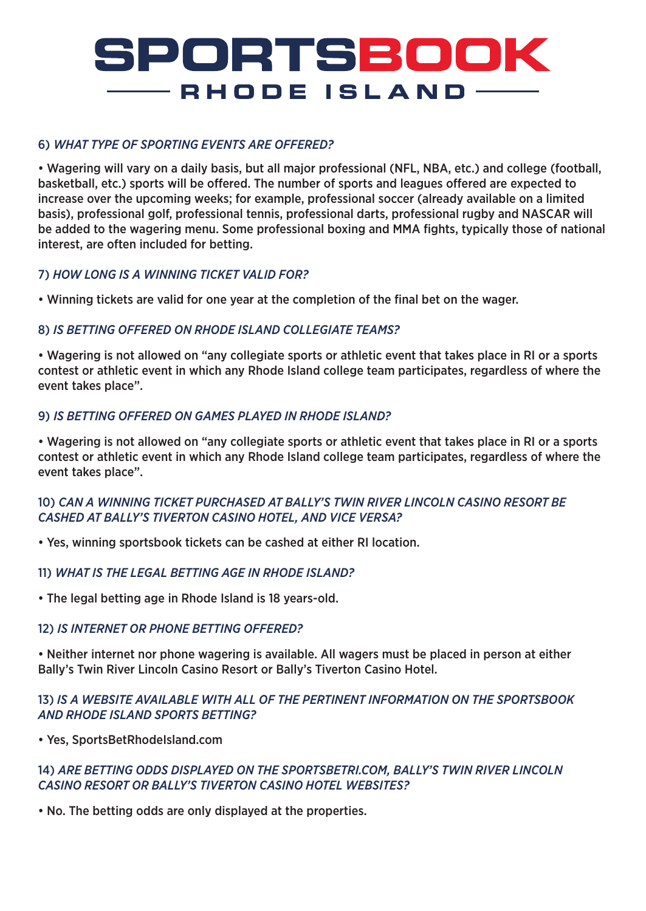# SPORTSBOOK — RHODE ISLAND-

## 6) *WHAT TYPE OF SPORTING EVENTS ARE OFFERED?*

• Wagering will vary on a daily basis, but all major professional (NFL, NBA, etc.) and college (football, basketball, etc.) sports will be offered. The number of sports and leagues offered are expected to increase over the upcoming weeks; for example, professional soccer (already available on a limited basis), professional golf, professional tennis, professional darts, professional rugby and NASCAR will be added to the wagering menu. Some professional boxing and MMA fights, typically those of national interest, are often included for betting.

#### 7) *HOW LONG IS A WINNING TICKET VALID FOR?*

• Winning tickets are valid for one year at the completion of the final bet on the wager.

#### 8) *IS BETTING OFFERED ON RHODE ISLAND COLLEGIATE TEAMS?*

• Wagering is not allowed on "any collegiate sports or athletic event that takes place in RI or a sports contest or athletic event in which any Rhode Island college team participates, regardless of where the event takes place".

## 9) *IS BETTING OFFERED ON GAMES PLAYED IN RHODE ISLAND?*

• Wagering is not allowed on "any collegiate sports or athletic event that takes place in RI or a sports contest or athletic event in which any Rhode Island college team participates, regardless of where the event takes place".

#### 10) *CAN A WINNING TICKET PURCHASED AT BALLY'S TWIN RIVER LINCOLN CASINO RESORT BE CASHED AT BALLY'S TIVERTON CASINO HOTEL, AND VICE VERSA?*

• Yes, winning sportsbook tickets can be cashed at either RI location.

#### 11) *WHAT IS THE LEGAL BETTING AGE IN RHODE ISLAND?*

• The legal betting age in Rhode Island is 18 years-old.

#### 12) *IS INTERNET OR PHONE BETTING OFFERED?*

• Neither internet nor phone wagering is available. All wagers must be placed in person at either Bally's Twin River Lincoln Casino Resort or Bally's Tiverton Casino Hotel.

#### 13) *IS A WEBSITE AVAILABLE WITH ALL OF THE PERTINENT INFORMATION ON THE SPORTSBOOK AND RHODE ISLAND SPORTS BETTING?*

• Yes, SportsBetRhodeIsland.com

#### 14) *ARE BETTING ODDS DISPLAYED ON THE SPORTSBETRI.COM, BALLY'S TWIN RIVER LINCOLN CASINO RESORT OR BALLY'S TIVERTON CASINO HOTEL WEBSITES?*

• No. The betting odds are only displayed at the properties.